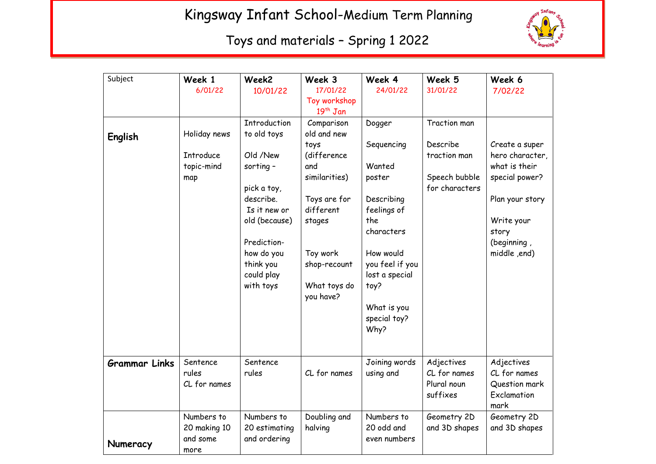## Kingsway Infant School-Medium Term Planning



## Toys and materials – Spring 1 2022

| Subject              | Week 1           | Week2                    | Week 3                    | Week 4             | Week 5         | Week 6              |
|----------------------|------------------|--------------------------|---------------------------|--------------------|----------------|---------------------|
|                      | 6/01/22          | 10/01/22                 | 17/01/22                  | 24/01/22           | 31/01/22       | 7/02/22             |
|                      |                  |                          | Toy workshop              |                    |                |                     |
|                      |                  |                          | $19th$ Jan                |                    |                |                     |
|                      |                  | <b>Introduction</b>      | Comparison                | Dogger             | Traction man   |                     |
| English              | Holiday news     | to old toys              | old and new               |                    |                |                     |
|                      |                  |                          | toys                      | Sequencing         | Describe       | Create a super      |
|                      | <b>Introduce</b> | Old /New                 | (difference               |                    | traction man   | hero character,     |
|                      | topic-mind       | sorting $-$              | and                       | Wanted             |                | what is their       |
|                      | map              |                          | similarities)             | poster             | Speech bubble  | special power?      |
|                      |                  | pick a toy,<br>describe. |                           |                    | for characters |                     |
|                      |                  | Is it new or             | Toys are for<br>different | Describing         |                | Plan your story     |
|                      |                  | old (because)            | stages                    | feelings of<br>the |                |                     |
|                      |                  |                          |                           | characters         |                | Write your<br>story |
|                      |                  | Prediction-              |                           |                    |                | (beginning,         |
|                      |                  | how do you               | Toy work                  | How would          |                | middle ,end)        |
|                      |                  | think you                | shop-recount              | you feel if you    |                |                     |
|                      |                  | could play               |                           | lost a special     |                |                     |
|                      |                  | with toys                | What toys do              | toy?               |                |                     |
|                      |                  |                          | you have?                 |                    |                |                     |
|                      |                  |                          |                           | What is you        |                |                     |
|                      |                  |                          |                           | special toy?       |                |                     |
|                      |                  |                          |                           | Why?               |                |                     |
|                      |                  |                          |                           |                    |                |                     |
|                      |                  |                          |                           |                    |                |                     |
| <b>Grammar Links</b> | Sentence         | Sentence                 |                           | Joining words      | Adjectives     | Adjectives          |
|                      | rules            | rules                    | CL for names              | using and          | CL for names   | CL for names        |
|                      | CL for names     |                          |                           |                    | Plural noun    | Question mark       |
|                      |                  |                          |                           |                    | suffixes       | Exclamation         |
|                      |                  |                          |                           |                    |                | mark                |
|                      | Numbers to       | Numbers to               | Doubling and              | Numbers to         | Geometry 2D    | Geometry 2D         |
|                      | 20 making 10     | 20 estimating            | halving                   | 20 odd and         | and 3D shapes  | and 3D shapes       |
| Numeracy             | and some         | and ordering             |                           | even numbers       |                |                     |
|                      | more             |                          |                           |                    |                |                     |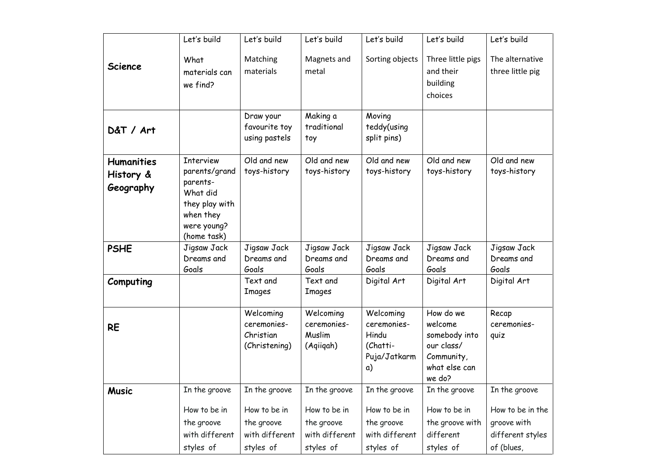|                                             | Let's build                                                                                                            | Let's build                                               | Let's build                                               | Let's build                                                         | Let's build                                                                                  | Let's build                                                       |
|---------------------------------------------|------------------------------------------------------------------------------------------------------------------------|-----------------------------------------------------------|-----------------------------------------------------------|---------------------------------------------------------------------|----------------------------------------------------------------------------------------------|-------------------------------------------------------------------|
| <b>Science</b>                              | What<br>materials can<br>we find?                                                                                      | Matching<br>materials                                     | Magnets and<br>metal                                      | Sorting objects                                                     | Three little pigs<br>and their<br>building<br>choices                                        | The alternative<br>three little pig                               |
| D&T / Art                                   |                                                                                                                        | Draw your<br>favourite toy<br>using pastels               | Making a<br>traditional<br>toy                            | Moving<br>teddy(using<br>split pins)                                |                                                                                              |                                                                   |
| <b>Humanities</b><br>History &<br>Geography | <b>Interview</b><br>parents/grand<br>parents-<br>What did<br>they play with<br>when they<br>were young?<br>(home task) | Old and new<br>toys-history                               | Old and new<br>toys-history                               | Old and new<br>toys-history                                         | Old and new<br>toys-history                                                                  | Old and new<br>toys-history                                       |
| <b>PSHE</b>                                 | Jigsaw Jack<br>Dreams and<br>Goals                                                                                     | Jigsaw Jack<br>Dreams and<br>Goals                        | Jigsaw Jack<br>Dreams and<br>Goals                        | Jigsaw Jack<br>Dreams and<br>Goals                                  | Jigsaw Jack<br>Dreams and<br>Goals                                                           | Jigsaw Jack<br>Dreams and<br>Goals                                |
| Computing                                   |                                                                                                                        | Text and<br><b>Images</b>                                 | Text and<br><b>Images</b>                                 | Digital Art                                                         | Digital Art                                                                                  | Digital Art                                                       |
| <b>RE</b>                                   |                                                                                                                        | Welcoming<br>ceremonies-<br>Christian<br>(Christening)    | Welcoming<br>ceremonies-<br>Muslim<br>(Aqiiqah)           | Welcoming<br>ceremonies-<br>Hindu<br>(Chatti-<br>Puja/Jatkarm<br>a) | How do we<br>welcome<br>somebody into<br>our class/<br>Community,<br>what else can<br>we do? | Recap<br>ceremonies-<br>quiz                                      |
| <b>Music</b>                                | In the groove                                                                                                          | In the groove                                             | In the groove                                             | In the groove                                                       | In the groove                                                                                | In the groove                                                     |
|                                             | How to be in<br>the groove<br>with different<br>styles of                                                              | How to be in<br>the groove<br>with different<br>styles of | How to be in<br>the groove<br>with different<br>styles of | How to be in<br>the groove<br>with different<br>styles of           | How to be in<br>the groove with<br>different<br>styles of                                    | How to be in the<br>groove with<br>different styles<br>of (blues, |